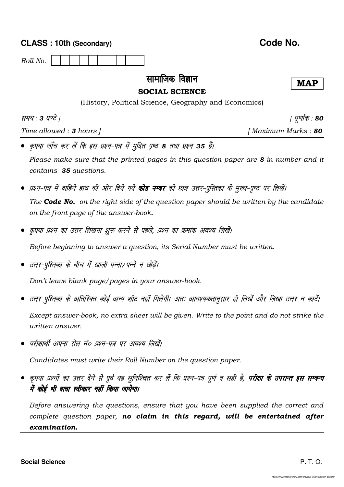|                                                                                                                                                                                   | Code No.               |  |  |
|-----------------------------------------------------------------------------------------------------------------------------------------------------------------------------------|------------------------|--|--|
| Roll No.                                                                                                                                                                          |                        |  |  |
| सामाजिक विज्ञान<br><b>SOCIAL SCIENCE</b><br>(History, Political Science, Geography and Economics)                                                                                 | <b>MAP</b>             |  |  |
| समय : 3 घण्टे                                                                                                                                                                     | <i>। पूर्णांक : 80</i> |  |  |
| Time allowed : $3$ hours $\overline{\phantom{a}}$                                                                                                                                 | [Maximum Marks: 80     |  |  |
| • कृपया जाँच कर लें कि इस प्रश्न-पत्र में मुद्रित पृष्ठ 8 तथा प्रश्न 35 हैं।                                                                                                      |                        |  |  |
| Please make sure that the printed pages in this question paper are 8 in number and it<br>contains 35 questions.                                                                   |                        |  |  |
| • प्रश्न-पत्र में दाहिने हाथ की ओर दिये गये <b>कोड नम्बर</b> को छात्र उत्तर-पुस्तिका के मुख्य-पृष्ठ पर लिखें।                                                                     |                        |  |  |
| The <b>Code No.</b> on the right side of the question paper should be written by the candidate<br>on the front page of the answer-book.                                           |                        |  |  |
| ● कृपया प्रश्न का उत्तर लिखना शुरू करने से पहले, प्रश्न का क्रमांक अवश्य लिखें।                                                                                                   |                        |  |  |
| Before beginning to answer a question, its Serial Number must be written.                                                                                                         |                        |  |  |
| ●  उत्तर-पुस्तिका के बीच में खाली पन्ना∕ पन्ने न छोड़ें।                                                                                                                          |                        |  |  |
| Don't leave blank page/pages in your answer-book.                                                                                                                                 |                        |  |  |
| • उत्तर-पुस्तिका के अतिरिक्त कोई अन्य शीट नहीं मिलेगी। अतः आवश्यकतानुसार ही लिखें और लिखा उत्तर न काटें।                                                                          |                        |  |  |
| Except answer-book, no extra sheet will be given. Write to the point and do not strike the<br>written answer.                                                                     |                        |  |  |
| ●  परीक्षार्थी अपना रोल नं० प्रश्न-पत्र पर अवश्य लिखें।                                                                                                                           |                        |  |  |
| Candidates must write their Roll Number on the question paper.                                                                                                                    |                        |  |  |
| • कृपया प्रश्नों का उत्तर देने से पूर्व यह सुनिश्चित कर लें कि प्रश्न-पत्र पूर्ण व सही है, <b>परीक्षा के उपरान्त इस सम्बन्ध</b><br>में कोई भी दावा स्वीकार नहीं किया जायेगा।      |                        |  |  |
| Before answering the questions, ensure that you have been supplied the correct and<br>complete question paper, no claim in this regard, will be entertained after<br>examination. |                        |  |  |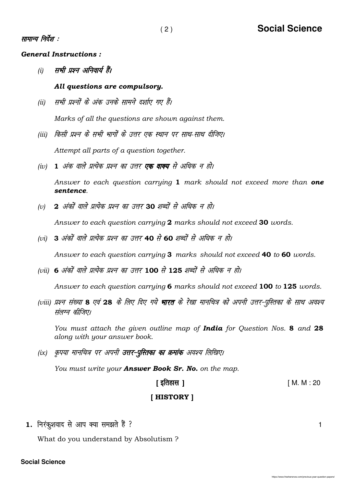#### सामान्य निर्देश :

General Instructions :

(i) सभी प्रश्न अनिवार्य हैं।

#### All questions are compulsory.

- (ii) सभी प्रश्नों के अंक उनके सामने दर्शाए गए हैं। Marks of all the questions are shown against them.
- (iii) किसी प्रश्न के सभी भागों के उत्तर एक स्थान पर साथ-साथ दीजिए।

Attempt all parts of a question together.

(iv) 1 अंक वाले प्रत्येक प्रश्न का उत्तर **एक वाक्य** से अधिक न हो।

Answer to each question carrying  $1$  mark should not exceed more than one sentence.

(v) 2 अंकों वाले प्रत्येक प्रश्न का उत्तर 30 शब्दों से अधिक न हो।

Answer to each question carrying 2 marks should not exceed 30 words.

(vi) 3 अंकों वाले प्रत्येक प्रश्न का उत्तर 40 से 60 शब्दों से अधिक न हो।

Answer to each question carrying 3 marks should not exceed 40 to 60 words.

(vii) 6 अंकों वाले प्रत्येक प्रश्न का उत्तर 100 से 125 शब्दों से अधिक न हो।

Answer to each question carrying 6 marks should not exceed 100 to 125 words.

(viii) प्रश्न संख्या 8 एवं 28 के लिए दिए गये **भारत** के रेखा मानचित्र को अपनी उत्तर-पुस्तिका के साथ अवश्य संलग्न कीजिए।

You must attach the given outline map of India for Question Nos. 8 and 28 along with your answer book.

(ix) कृपया मानचित्र पर अपनी **उत्तर-पुस्तिका का क्रमांक** अवश्य लिखिए।

You must write your **Answer Book Sr. No.** on the map.

# [ bfrgkl ] [ M. M : 20

### [ HISTORY ]

1. fujadq'kokn ls vki D;k le>rs gS a \ 1

What do you understand by Absolutism ?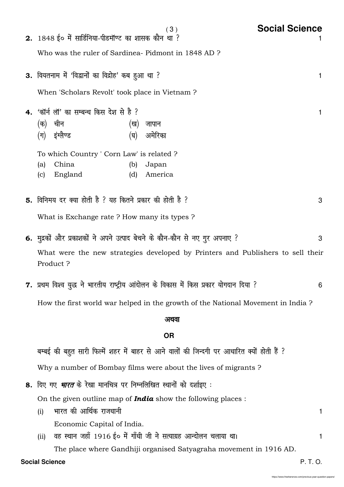| <b>Social Science</b><br>(3)                                                                |   |  |  |  |  |  |
|---------------------------------------------------------------------------------------------|---|--|--|--|--|--|
| 2. 1848 ई० में सार्डिनिया-पीडमॉण्ट का शासक कौन था ?                                         |   |  |  |  |  |  |
| Who was the ruler of Sardinea-Pidmont in 1848 AD?                                           |   |  |  |  |  |  |
| 3. वियतनाम में 'विद्वानों का विद्रोह' कब हुआ था ?                                           | 1 |  |  |  |  |  |
| When 'Scholars Revolt' took place in Vietnam?                                               |   |  |  |  |  |  |
| 4. 'कॉर्न लॉ' का सम्बन्ध किस देश से है ?                                                    | 1 |  |  |  |  |  |
| चीन<br>(क)<br>जापान<br>(ख)                                                                  |   |  |  |  |  |  |
| इंग्लैण्ड<br>अमेरिका<br>$(\overline{\mathsf{H}})$<br>(घ)                                    |   |  |  |  |  |  |
| To which Country ' Corn Law' is related?                                                    |   |  |  |  |  |  |
| China<br>(a)<br>Japan<br>(b)                                                                |   |  |  |  |  |  |
| England<br>America<br>(d)<br>(c)                                                            |   |  |  |  |  |  |
| 5. विनिमय दर क्या होती है ? यह कितने प्रकार की होती है ?                                    | 3 |  |  |  |  |  |
|                                                                                             |   |  |  |  |  |  |
| What is Exchange rate ? How many its types ?                                                |   |  |  |  |  |  |
| 6. मुद्रकों और प्रकाशकों ने अपने उत्पाद बेचने के कौन-कौन से नए गुर अपनाए ?                  | 3 |  |  |  |  |  |
| What were the new strategies developed by Printers and Publishers to sell their<br>Product? |   |  |  |  |  |  |
| 7. प्रथम विश्व युद्ध ने भारतीय राष्ट्रीय आंदोलन के विकास में किस प्रकार योगदान दिया ?       | 6 |  |  |  |  |  |
| How the first world war helped in the growth of the National Movement in India?             |   |  |  |  |  |  |
| अथवा                                                                                        |   |  |  |  |  |  |
| <b>OR</b>                                                                                   |   |  |  |  |  |  |
| बम्बई की बहुत सारी फिल्में शहर में बाहर से आने वालों की जिन्दगी पर आधारित क्यों होती हैं ?  |   |  |  |  |  |  |
| Why a number of Bombay films were about the lives of migrants?                              |   |  |  |  |  |  |
| 8. दिए गए <i>भारत</i> के रेखा मानचित्र पर निम्नलिखित स्थानों को दर्शाइए :                   |   |  |  |  |  |  |
| On the given outline map of <i>India</i> show the following places :                        |   |  |  |  |  |  |
| भारत की आर्थिक राजधानी<br>(i)                                                               | 1 |  |  |  |  |  |
| Economic Capital of India.                                                                  |   |  |  |  |  |  |
| वह स्थान जहाँ 1916 ई० में गाँधी जी ने सत्याग्रह आन्दोलन चलाया था।<br>(ii)                   | 1 |  |  |  |  |  |
| The place where Gandhiji organised Satyagraha movement in 1916 AD.                          |   |  |  |  |  |  |
| <b>Social Science</b><br>P. T. O.                                                           |   |  |  |  |  |  |
| https://www.freshersnow.com/previous-vear-question-papers/                                  |   |  |  |  |  |  |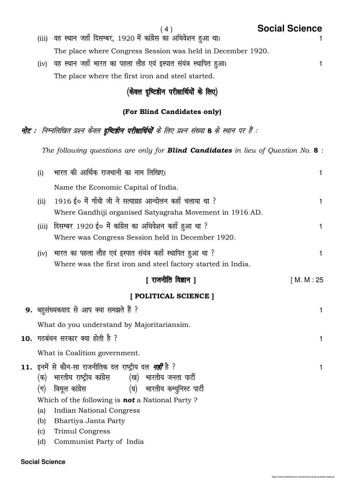# ( 4 ) **Social Science** (iii) वह स्थान जहाँ दिसम्बर, 1920 में कांग्रेस का अधिवेशन हुआ था। The place where Congress Session was held in December 1920.

(iv) वह स्थान जहाँ भारत का पहला लौह एवं इस्पात संयंत्र स्थापित हुआ। The place where the first iron and steel started.

# $($ केवल दृष्टिहीन परीक्षार्थियों के लिए)

# (For Blind Candidates only)

नोट : निम्नलिखित प्रश्न केवल दृष्टिहीन परीक्षार्थियों के लिए प्रश्न संख्या 8 के स्थान पर हैं :

The following questions are only for **Blind Candidates** in lieu of Question No.  $8$ :

| (i)                                                                                                                 | भारत की आर्थिक राजधानी का नाम लिखिए।                                                                                                                                                                                                                                                                                                                                        | 1            |  |  |  |
|---------------------------------------------------------------------------------------------------------------------|-----------------------------------------------------------------------------------------------------------------------------------------------------------------------------------------------------------------------------------------------------------------------------------------------------------------------------------------------------------------------------|--------------|--|--|--|
|                                                                                                                     | Name the Economic Capital of India.                                                                                                                                                                                                                                                                                                                                         |              |  |  |  |
| (ii)                                                                                                                | 1916 ई० में गाँधी जी ने सत्याग्रह आन्दोलन कहाँ चलाया था ?<br>Where Gandhiji organised Satyagraha Movement in 1916 AD.                                                                                                                                                                                                                                                       | $\mathbf{1}$ |  |  |  |
| दिसम्बर 1920 ई० में कांग्रेस का अधिवेशन कहाँ हुआ था ?<br>(iii)<br>Where was Congress Session held in December 1920. |                                                                                                                                                                                                                                                                                                                                                                             |              |  |  |  |
| (iv)                                                                                                                | भारत का पहला लौह एवं इस्पात संयंत्र कहाँ स्थापित हुआ था ?<br>Where was the first iron and steel factory started in India.                                                                                                                                                                                                                                                   | $\mathbf{1}$ |  |  |  |
|                                                                                                                     | [ राजनीति विज्ञान ]                                                                                                                                                                                                                                                                                                                                                         | [M. M: 25]   |  |  |  |
|                                                                                                                     | [ POLITICAL SCIENCE ]                                                                                                                                                                                                                                                                                                                                                       |              |  |  |  |
| 9. बहुसंख्यकवाद से आप क्या समझते हैं ?                                                                              |                                                                                                                                                                                                                                                                                                                                                                             |              |  |  |  |
|                                                                                                                     | What do you understand by Majoritariansim.                                                                                                                                                                                                                                                                                                                                  |              |  |  |  |
| 10. गठबंधन सरकार क्या होती है ?<br>$\mathbf{1}$                                                                     |                                                                                                                                                                                                                                                                                                                                                                             |              |  |  |  |
| What is Coalition government.                                                                                       |                                                                                                                                                                                                                                                                                                                                                                             |              |  |  |  |
| $(\overline{\mathsf{r}})$<br>(a)<br>(b)<br>(c)<br>(d)                                                               | <b>11.</b> इनमें से कौन-सा राजनीतिक दल राष्ट्रीय दल <i><b>नहीं</b></i> है ?<br>(क)  भारतीय राष्ट्रीय कांग्रेस        (ख)  भारतीय जनता पार्टी<br>(घ) भारतीय कम्युनिस्ट पार्टी<br>त्रिमूल कांग्रेस<br>Which of the following is <b>not</b> a National Party?<br><b>Indian National Congress</b><br>Bhartiya Janta Party<br><b>Trimul Congress</b><br>Communist Party of India | $\mathbf{1}$ |  |  |  |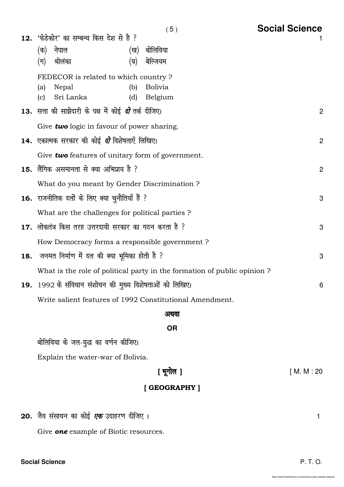| (क)        | 12. 'फेडेकोर' का सम्बन्ध किस देश से है ?<br>नेपाल                  | (ख)        | बोलिविया                                                                | 1              |
|------------|--------------------------------------------------------------------|------------|-------------------------------------------------------------------------|----------------|
| (ग)        | श्रीलंका                                                           | (घ)        | बेल्जियम                                                                |                |
|            | FEDECOR is related to which country ?                              |            |                                                                         |                |
| (a)<br>(c) | Nepal<br>Sri Lanka                                                 | (b)<br>(d) | <b>Bolivia</b><br>Belgium                                               |                |
|            | <b>13.</b> सत्ता की साझेदारी के पक्ष में कोई <i>दो</i> तर्क दीजिए। |            |                                                                         | $\overline{2}$ |
|            | Give two logic in favour of power sharing.                         |            |                                                                         |                |
|            | <b>14.</b> एकात्मक सरकार की कोई <i>दो</i> विशेषताएँ लिखिए।         |            |                                                                         | $\overline{2}$ |
|            | Give two features of unitary form of government.                   |            |                                                                         |                |
|            | <b>15.</b> लैंगिक असमानता से क्या अभिप्राय है ?                    |            |                                                                         | $\overline{2}$ |
|            | What do you meant by Gender Discrimination?                        |            |                                                                         |                |
|            | 16. राजनीतिक दलों के लिए क्या चुनौतियाँ हैं ?                      |            |                                                                         | 3              |
|            | What are the challenges for political parties?                     |            |                                                                         |                |
|            | <b>17.</b> लोकतंत्र किस तरह उत्तरदायी सरकार का गठन करता है ?       |            |                                                                         | 3              |
|            | How Democracy forms a responsible government?                      |            |                                                                         |                |
|            | <b>18. जनमत निर्माण में दल की क्या भूमिका होती है</b> ?            |            |                                                                         | 3              |
|            |                                                                    |            | What is the role of political party in the formation of public opinion? |                |
|            | 19. 1992 के संविधान संशोधन की मुख्य विशेषताओं को लिखिए।            |            |                                                                         | 6              |
|            |                                                                    |            | Write salient features of 1992 Constitutional Amendment.                |                |

अथवा

**OR** 

बोलिविया के जल-युद्ध का वर्णन कीजिए।

Explain the water-war of Bolivia.

# [ Hkwxksy ] [ M. M : 20

# [ GEOGRAPHY ]

20. जैव संसाधन का कोई *एक* उदाहरण दीजिए । सामान का प्रकार का प्रकार का प्रकार का प्रकार का प्रकार ।

Give **one** example of Biotic resources.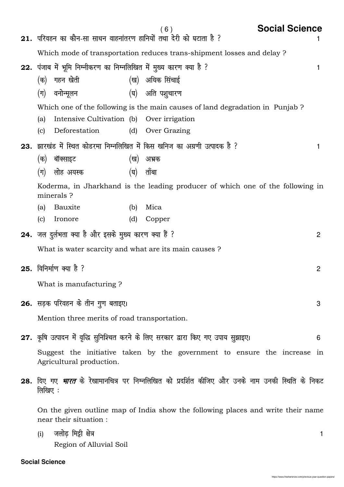|     |                                              |                                                                     |     | (6)                                                                                                            | <b>Social Science</b> |   |
|-----|----------------------------------------------|---------------------------------------------------------------------|-----|----------------------------------------------------------------------------------------------------------------|-----------------------|---|
|     |                                              |                                                                     |     | 21. परिवहन का कौन-सा साधन वाहनांतरण हानियों तथा देरी को घटाता है ?                                             |                       |   |
|     |                                              |                                                                     |     | Which mode of transportation reduces trans-shipment losses and delay ?                                         |                       |   |
|     |                                              | 22. पंजाब में भूमि निम्नीकरण का निम्नलिखित में मुख्य कारण क्या है ? |     |                                                                                                                | 1                     |   |
|     | (क)                                          | गहन खेती                                                            |     | (ख) अधिक सिंचाई                                                                                                |                       |   |
|     | $(\pi)$                                      | वनोन्मूलन                                                           |     | (घ) अति पशुचारण                                                                                                |                       |   |
|     |                                              |                                                                     |     | Which one of the following is the main causes of land degradation in Punjab?                                   |                       |   |
|     | (a)                                          | Intensive Cultivation (b) Over irrigation                           |     |                                                                                                                |                       |   |
|     | (c)                                          | Deforestation                                                       | (d) | Over Grazing                                                                                                   |                       |   |
| 23. |                                              |                                                                     |     | झारखंड में स्थित कोडरमा निम्नलिखित में किस खनिज का अग्रणी उत्पादक है ?                                         | 1                     |   |
|     | (क)                                          | बॉक्साइट                                                            | (ख) | अभ्रक                                                                                                          |                       |   |
|     | (ग)                                          | लोह अयस्क                                                           | (घ) | तॉबा                                                                                                           |                       |   |
|     |                                              | minerals?                                                           |     | Koderma, in Jharkhand is the leading producer of which one of the following in                                 |                       |   |
|     | (a)                                          | Bauxite                                                             | (b) | Mica                                                                                                           |                       |   |
|     | (c)                                          | Ironore                                                             | (d) | Copper                                                                                                         |                       |   |
|     |                                              | 24. जल दुर्लभता क्या है और इसके मुख्य कारण क्या हैं ?               |     |                                                                                                                | 2                     |   |
|     |                                              |                                                                     |     | What is water scarcity and what are its main causes?                                                           |                       |   |
|     |                                              | 25. विनिर्माण क्या है ?                                             |     |                                                                                                                | 2                     |   |
|     |                                              | What is manufacturing?                                              |     |                                                                                                                |                       |   |
|     |                                              |                                                                     |     |                                                                                                                |                       |   |
|     |                                              | 26. सड़क परिवहन के तीन गुण बताइए।                                   |     |                                                                                                                | 3                     |   |
|     | Mention three merits of road transportation. |                                                                     |     |                                                                                                                |                       |   |
|     |                                              |                                                                     |     | 27. कृषि उत्पादन में वृद्धि सुनिश्चित करने के लिए सरकार द्वारा किए गए उपाय सुझाइए।                             | 6                     |   |
|     |                                              | Agricultural production.                                            |     | Suggest the initiative taken by the government to ensure the increase in                                       |                       |   |
|     | लिखिए :                                      |                                                                     |     | <b>28.</b> दिए गए <i>भारत</i> के रेखामानचित्र पर निम्नलिखित को प्रदर्शित कीजिए और उनके नाम उनकी स्थिति के निकट |                       |   |
|     |                                              | near their situation :                                              |     | On the given outline map of India show the following places and write their name                               |                       |   |
|     | (i)                                          | जलोढ़ मिट्टी क्षेत्र                                                |     |                                                                                                                |                       | 1 |

Region of Alluvial Soil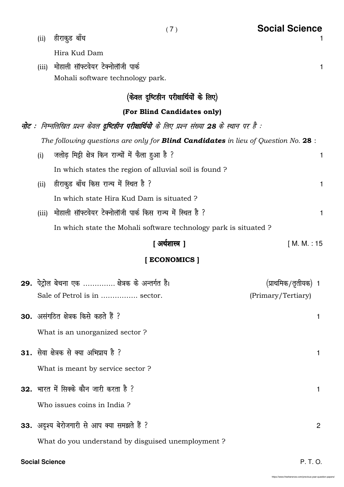| (ii)  | हीराकुड बॉध                                                                                                   | 1              |
|-------|---------------------------------------------------------------------------------------------------------------|----------------|
|       | Hira Kud Dam                                                                                                  |                |
| (iii) | मोहाली सॉफ्टवेयर टेक्नोलॉजी पार्क                                                                             | 1              |
|       | Mohali software technology park.                                                                              |                |
|       | (केवल दृष्टिहीन परीक्षार्थियों के लिए)                                                                        |                |
|       | (For Blind Candidates only)                                                                                   |                |
|       | <b>नोट</b> :  निम्नलिखित प्रश्न केवल दृ <b>ष्टिहीन परीक्षार्थियो</b> के लिए प्रश्न संख्या 28 के स्थान पर है : |                |
|       | The following questions are only for <b>Blind Candidates</b> in lieu of Question No. 28 :                     |                |
| (i)   | जलोढ़ मिट्टी क्षेत्र किन राज्यों में फैला हुआ है ?                                                            | $\mathbf{1}$   |
|       | In which states the region of alluvial soil is found?                                                         |                |
| (iii) | हीराकुड बॉंध किस राज्य में स्थित है ?                                                                         | 1              |
|       | In which state Hira Kud Dam is situated?                                                                      |                |
| (iii) | मोहाली सॉफ्टवेयर टेक्नोलॉजी पार्क किस राज्य में स्थित है ?                                                    | 1              |
|       | In which state the Mohali software technology park is situated?                                               |                |
|       | [ अर्थशास्त्र ]<br>[ M. M. : 15                                                                               |                |
|       | [ECONOMICS]                                                                                                   |                |
|       | 29. पेट्रोल बेचना एक  क्षेत्रक के अन्तर्गत है।<br>(प्राथमिक/तृतीयक)                                           |                |
|       | Sale of Petrol is in  sector.<br>(Primary/Tertiary)                                                           |                |
|       | 30. असंगठित क्षेत्रक किसे कहते हैं ?                                                                          | 1              |
|       | What is an unorganized sector?                                                                                |                |
|       |                                                                                                               |                |
|       | 31. सेवा क्षेत्रक से क्या अभिप्राय है ?                                                                       | 1              |
|       | What is meant by service sector?                                                                              |                |
|       | 32. भारत में सिक्के कौन जारी करता है ?                                                                        | 1              |
|       | Who issues coins in India?                                                                                    |                |
|       | 33. अदृश्य बेरोजगारी से आप क्या समझते हैं ?                                                                   | $\overline{2}$ |
|       | What do you understand by disguised unemployment ?                                                            |                |
|       |                                                                                                               |                |